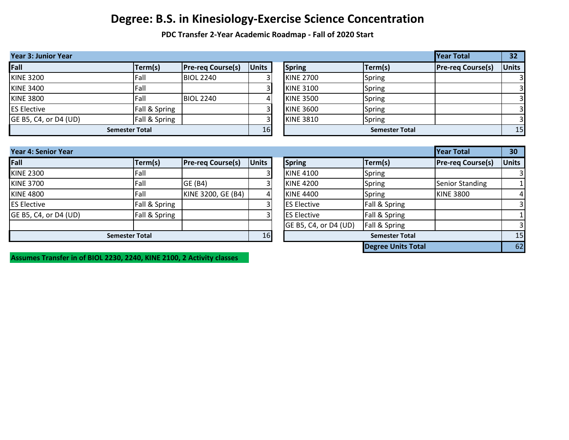**PDC Transfer 2-Year Academic Roadmap - Fall of 2020 Start**

| Year Total<br><b>Year 3: Junior Year</b> |                       |                          |              |  |                  |                       | 32                       |              |
|------------------------------------------|-----------------------|--------------------------|--------------|--|------------------|-----------------------|--------------------------|--------------|
| Fall                                     | Term(s)               | <b>Pre-req Course(s)</b> | <b>Units</b> |  | <b>Spring</b>    | Term(s)               | <b>Pre-reg Course(s)</b> | <b>Units</b> |
| <b>KINE 3200</b>                         | Fall                  | <b>BIOL 2240</b>         |              |  | <b>KINE 2700</b> | Spring                |                          |              |
| <b>KINE 3400</b>                         | Fall                  |                          |              |  | <b>KINE 3100</b> | Spring                |                          |              |
| <b>KINE 3800</b>                         | Fall                  | <b>BIOL 2240</b>         | 4            |  | <b>KINE 3500</b> | Spring                |                          |              |
| <b>ES Elective</b>                       | Fall & Spring         |                          |              |  | <b>KINE 3600</b> | Spring                |                          |              |
| GE B5, C4, or D4 (UD)                    | Fall & Spring         |                          |              |  | <b>KINE 3810</b> | Spring                |                          |              |
|                                          | <b>Semester Total</b> |                          | 16           |  |                  | <b>Semester Total</b> |                          | 15           |

| <b>Year 4: Senior Year</b> |                       |                          |              |                       |                           | <b>Year Total</b>        | 30           |
|----------------------------|-----------------------|--------------------------|--------------|-----------------------|---------------------------|--------------------------|--------------|
| Fall                       | Term(s)               | <b>Pre-reg Course(s)</b> | <b>Units</b> | <b>Spring</b>         | Term(s)                   | <b>Pre-reg Course(s)</b> | <b>Units</b> |
| <b>KINE 2300</b>           | Fall                  |                          |              | <b>KINE 4100</b>      | Spring                    |                          |              |
| <b>KINE 3700</b>           | <b>Fall</b>           | GE (B4)                  |              | <b>KINE 4200</b>      | Spring                    | <b>Senior Standing</b>   |              |
| <b>KINE 4800</b>           | Fall                  | KINE 3200, GE (B4)       | 4            | <b>KINE 4400</b>      | Spring                    | <b>KINE 3800</b>         | 4            |
| <b>ES Elective</b>         | Fall & Spring         |                          |              | <b>ES Elective</b>    | Fall & Spring             |                          |              |
| GE B5, C4, or D4 (UD)      | Fall & Spring         |                          |              | <b>ES Elective</b>    | Fall & Spring             |                          |              |
|                            |                       |                          |              | GE B5, C4, or D4 (UD) | Fall & Spring             |                          | 3            |
|                            | <b>Semester Total</b> |                          | 16           |                       | <b>Semester Total</b>     |                          | 15           |
|                            |                       |                          |              |                       | <b>Degree Units Total</b> |                          | 62           |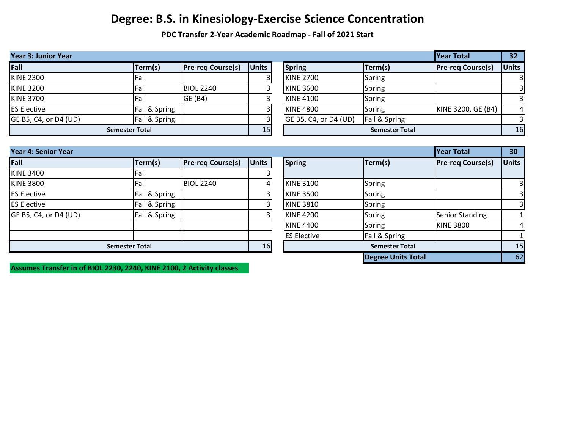**PDC Transfer 2-Year Academic Roadmap - Fall of 2021 Start**

| <b>Year 3: Junior Year</b> |                              |                          |              |                       |                       | Year Total               | 32           |
|----------------------------|------------------------------|--------------------------|--------------|-----------------------|-----------------------|--------------------------|--------------|
| Fall                       | Term(s)                      | <b>Pre-reg Course(s)</b> | <b>Units</b> | <b>Spring</b>         | Term(s)               | <b>Pre-reg Course(s)</b> | <b>Units</b> |
| <b>KINE 2300</b>           | Fall                         |                          |              | <b>KINE 2700</b>      | Spring                |                          |              |
| <b>KINE 3200</b>           | Fall                         | <b>BIOL 2240</b>         |              | <b>KINE 3600</b>      | Spring                |                          |              |
| <b>KINE 3700</b>           | Fall                         | GE (B4)                  | 3            | <b>KINE 4100</b>      | Spring                |                          |              |
| <b>ES Elective</b>         | <b>Fall &amp; Spring</b>     |                          |              | <b>KINE 4800</b>      | Spring                | KINE 3200, GE (B4)       | 4            |
| GE B5, C4, or D4 (UD)      | Fall & Spring                |                          |              | GE B5, C4, or D4 (UD) | Fall & Spring         |                          |              |
|                            | <b>Semester Total</b>        |                          | 15           |                       | <b>Semester Total</b> |                          | 16           |
|                            |                              |                          |              |                       |                       |                          |              |
| <b>Year 4: Senior Year</b> |                              |                          |              |                       |                       | Year Total               | 30           |
| Fall                       | Term(s)                      | <b>Pre-reg Course(s)</b> | <b>Units</b> | <b>Spring</b>         | Term(s)               | <b>Pre-reg Course(s)</b> | <b>Units</b> |
| <b>VINE 2400</b>           | $\mathsf{L} \cap \mathsf{L}$ |                          |              |                       |                       |                          |              |

| 11 G.II               | $1 \cup 111137$ | $112124$ COM 3C(3) | יטוויט | PPULS              | CHIINJ                | $1.1$ C-1 CM COMPOLIST | יטוויט |
|-----------------------|-----------------|--------------------|--------|--------------------|-----------------------|------------------------|--------|
| <b>KINE 3400</b>      | Fall            |                    |        |                    |                       |                        |        |
| <b>KINE 3800</b>      | Fall            | <b>BIOL 2240</b>   | 4      | <b>KINE 3100</b>   | Spring                |                        |        |
| <b>ES Elective</b>    | Fall & Spring   |                    |        | <b>KINE 3500</b>   | <b>Spring</b>         |                        |        |
| <b>ES Elective</b>    | Fall & Spring   |                    |        | <b>KINE 3810</b>   | Spring                |                        |        |
| GE B5, C4, or D4 (UD) | Fall & Spring   |                    |        | <b>KINE 4200</b>   | Spring                | Senior Standing        |        |
|                       |                 |                    |        | <b>KINE 4400</b>   | Spring                | <b>KINE 3800</b>       |        |
|                       |                 |                    |        | <b>ES Elective</b> | Fall & Spring         |                        |        |
| Semester Total        |                 |                    | 16     |                    | <b>Semester Total</b> |                        | 15     |

|                         |                       |                           | Year Total               | 30             |  |  |  |
|-------------------------|-----------------------|---------------------------|--------------------------|----------------|--|--|--|
| ts                      | <b>Spring</b>         | Term(s)                   | <b>Pre-reg Course(s)</b> | <b>Units</b>   |  |  |  |
| $\overline{\mathbf{3}}$ |                       |                           |                          |                |  |  |  |
| 4                       | <b>KINE 3100</b>      | Spring                    |                          | 3              |  |  |  |
| $\overline{3}$          | <b>KINE 3500</b>      | Spring                    |                          | $\overline{3}$ |  |  |  |
| $\overline{3}$          | <b>KINE 3810</b>      | Spring                    |                          | 3              |  |  |  |
| 3                       | <b>KINE 4200</b>      | Spring                    | <b>Senior Standing</b>   |                |  |  |  |
|                         | <b>KINE 4400</b>      | Spring                    | <b>KINE 3800</b>         | 4              |  |  |  |
|                         | <b>ES Elective</b>    | Fall & Spring             |                          |                |  |  |  |
| 16                      | <b>Semester Total</b> |                           |                          |                |  |  |  |
|                         |                       | <b>Degree Units Total</b> |                          | 62             |  |  |  |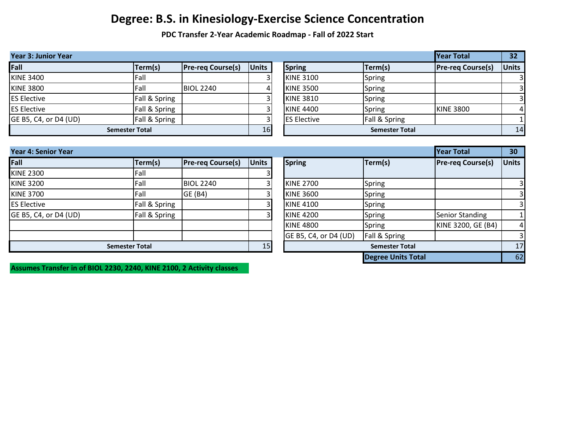**PDC Transfer 2-Year Academic Roadmap - Fall of 2022 Start**

| <b>Year 3: Junior Year</b> |                       |                          |                |                     |                       | Year Total               | 32 <sub>2</sub>         |
|----------------------------|-----------------------|--------------------------|----------------|---------------------|-----------------------|--------------------------|-------------------------|
| Fall                       | Term(s)               | <b>Pre-reg Course(s)</b> | <b>Units</b>   | <b>Spring</b>       | Term(s)               | <b>Pre-reg Course(s)</b> | <b>Units</b>            |
| <b>KINE 3400</b>           | Fall                  |                          |                | <b>KINE 3100</b>    | Spring                |                          | $\overline{3}$          |
| <b>KINE 3800</b>           | Fall                  | <b>BIOL 2240</b>         | 4              | <b>KINE 3500</b>    | Spring                |                          | $\overline{3}$          |
| <b>ES Elective</b>         | Fall & Spring         |                          |                | <b>KINE 3810</b>    | Spring                |                          | $\overline{\mathbf{3}}$ |
| <b>ES Elective</b>         | Fall & Spring         |                          |                | <b>KINE 4400</b>    | Spring                | <b>KINE 3800</b>         | $\vert$                 |
| GE B5, C4, or D4 (UD)      | Fall & Spring         |                          |                | <b>ES Elective</b>  | Fall & Spring         |                          |                         |
|                            | <b>Semester Total</b> |                          | 16             |                     | <b>Semester Total</b> |                          | 14                      |
|                            |                       |                          |                |                     |                       |                          |                         |
| <b>Year 4: Senior Year</b> |                       |                          |                |                     |                       | <b>Year Total</b>        | 30                      |
| $F = II$                   | $I$ Tarm $(c)$        | Dre-ren Coursels)        | <b>Illnite</b> | $\mathsf{I}$ Cnrina | Tan(c)                | Dro-ron Coursals)        | ll Inite                |

| $1$ cal $\tau$ . Jehon I cal |                       |                          |              |                       |                           | ווכטו וטנטו                                  | JV.          |
|------------------------------|-----------------------|--------------------------|--------------|-----------------------|---------------------------|----------------------------------------------|--------------|
| Fall                         | Term(s)               | <b>Pre-reg Course(s)</b> | <b>Units</b> | <b>Spring</b>         | Term(s)                   | <b>Pre-reg Course(s)</b>                     | <b>Units</b> |
| <b>KINE 2300</b>             | Fall                  |                          |              |                       |                           |                                              |              |
| <b>KINE 3200</b>             | Fall                  | <b>BIOL 2240</b>         |              | <b>KINE 2700</b>      | Spring                    |                                              |              |
| <b>KINE 3700</b>             | Fall                  | GE (B4)                  |              | <b>KINE 3600</b>      | Spring                    |                                              |              |
| <b>ES Elective</b>           | Fall & Spring         |                          |              | <b>KINE 4100</b>      | Spring                    |                                              |              |
| GE B5, C4, or D4 (UD)        | Fall & Spring         |                          |              | <b>KINE 4200</b>      | Spring                    | <b>Senior Standing</b><br>KINE 3200, GE (B4) |              |
|                              |                       |                          |              | <b>KINE 4800</b>      | Spring                    |                                              | 4            |
|                              |                       |                          |              | GE B5, C4, or D4 (UD) | Fall & Spring             |                                              |              |
|                              | <b>Semester Total</b> |                          | 15           |                       | <b>Semester Total</b>     |                                              | 17           |
|                              |                       |                          |              |                       | <b>Degree Units Total</b> |                                              | 62           |